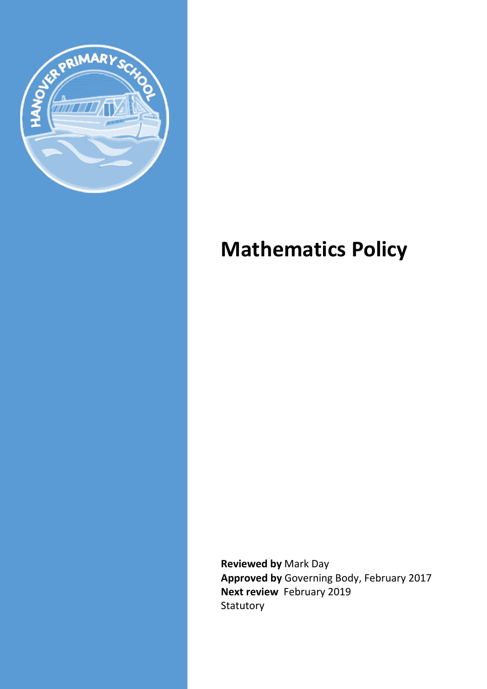

# **Mathematics Policy**

**Reviewed by** Mark Day **Approved by** Governing Body, February 2017 **Next review** February 2019 Statutory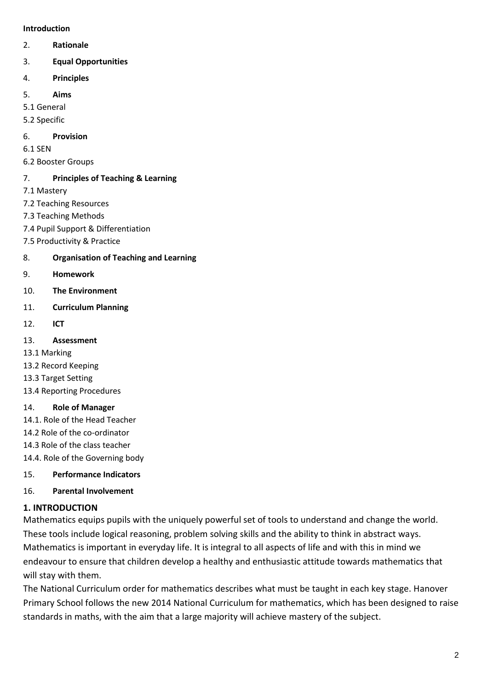#### **Introduction**

2. **Rationale** 

## 3. **Equal Opportunities**

- 4. **Principles**
- 5. **Aims**
- 5.1 General
- 5.2 Specific

## 6. **Provision**

6.1 SEN

6.2 Booster Groups

# 7. **Principles of Teaching & Learning**

- 7.1 Mastery
- 7.2 Teaching Resources
- 7.3 Teaching Methods
- 7.4 Pupil Support & Differentiation
- 7.5 Productivity & Practice

# 8. **Organisation of Teaching and Learning**

- 9. **Homework**
- 10. **The Environment**
- 11. **Curriculum Planning**
- 12. **ICT**
- 13. **Assessment**
- 13.1 Marking
- 13.2 Record Keeping
- 13.3 Target Setting
- 13.4 Reporting Procedures

#### 14. **Role of Manager**

- 14.1. Role of the Head Teacher
- 14.2 Role of the co-ordinator
- 14.3 Role of the class teacher

14.4. Role of the Governing body

#### 15. **Performance Indicators**

# 16. **Parental Involvement**

# **1. INTRODUCTION**

Mathematics equips pupils with the uniquely powerful set of tools to understand and change the world. These tools include logical reasoning, problem solving skills and the ability to think in abstract ways. Mathematics is important in everyday life. It is integral to all aspects of life and with this in mind we endeavour to ensure that children develop a healthy and enthusiastic attitude towards mathematics that will stay with them.

The National Curriculum order for mathematics describes what must be taught in each key stage. Hanover Primary School follows the new 2014 National Curriculum for mathematics, which has been designed to raise standards in maths, with the aim that a large majority will achieve mastery of the subject.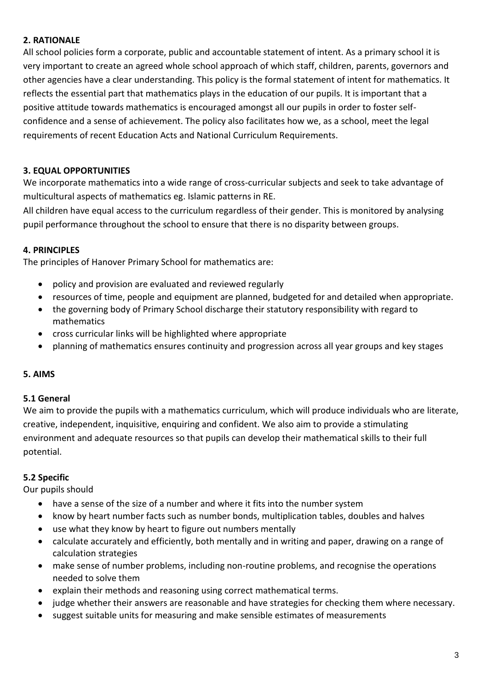## **2. RATIONALE**

All school policies form a corporate, public and accountable statement of intent. As a primary school it is very important to create an agreed whole school approach of which staff, children, parents, governors and other agencies have a clear understanding. This policy is the formal statement of intent for mathematics. It reflects the essential part that mathematics plays in the education of our pupils. It is important that a positive attitude towards mathematics is encouraged amongst all our pupils in order to foster selfconfidence and a sense of achievement. The policy also facilitates how we, as a school, meet the legal requirements of recent Education Acts and National Curriculum Requirements.

## **3. EQUAL OPPORTUNITIES**

We incorporate mathematics into a wide range of cross-curricular subjects and seek to take advantage of multicultural aspects of mathematics eg. Islamic patterns in RE.

All children have equal access to the curriculum regardless of their gender. This is monitored by analysing pupil performance throughout the school to ensure that there is no disparity between groups.

#### **4. PRINCIPLES**

The principles of Hanover Primary School for mathematics are:

- policy and provision are evaluated and reviewed regularly
- resources of time, people and equipment are planned, budgeted for and detailed when appropriate.
- the governing body of Primary School discharge their statutory responsibility with regard to mathematics
- cross curricular links will be highlighted where appropriate
- planning of mathematics ensures continuity and progression across all year groups and key stages

#### **5. AIMS**

#### **5.1 General**

We aim to provide the pupils with a mathematics curriculum, which will produce individuals who are literate, creative, independent, inquisitive, enquiring and confident. We also aim to provide a stimulating environment and adequate resources so that pupils can develop their mathematical skills to their full potential.

#### **5.2 Specific**

Our pupils should

- have a sense of the size of a number and where it fits into the number system
- know by heart number facts such as number bonds, multiplication tables, doubles and halves
- use what they know by heart to figure out numbers mentally
- calculate accurately and efficiently, both mentally and in writing and paper, drawing on a range of calculation strategies
- make sense of number problems, including non-routine problems, and recognise the operations needed to solve them
- explain their methods and reasoning using correct mathematical terms.
- judge whether their answers are reasonable and have strategies for checking them where necessary.
- suggest suitable units for measuring and make sensible estimates of measurements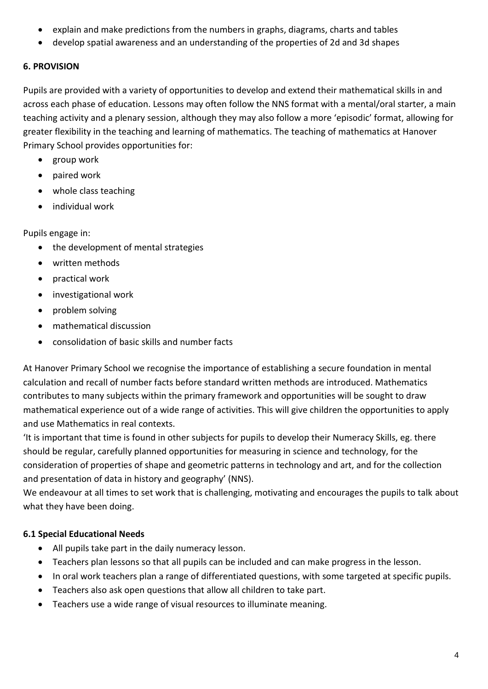- explain and make predictions from the numbers in graphs, diagrams, charts and tables
- develop spatial awareness and an understanding of the properties of 2d and 3d shapes

# **6. PROVISION**

Pupils are provided with a variety of opportunities to develop and extend their mathematical skills in and across each phase of education. Lessons may often follow the NNS format with a mental/oral starter, a main teaching activity and a plenary session, although they may also follow a more 'episodic' format, allowing for greater flexibility in the teaching and learning of mathematics. The teaching of mathematics at Hanover Primary School provides opportunities for:

- group work
- paired work
- whole class teaching
- individual work

Pupils engage in:

- the development of mental strategies
- written methods
- practical work
- investigational work
- problem solving
- mathematical discussion
- consolidation of basic skills and number facts

At Hanover Primary School we recognise the importance of establishing a secure foundation in mental calculation and recall of number facts before standard written methods are introduced. Mathematics contributes to many subjects within the primary framework and opportunities will be sought to draw mathematical experience out of a wide range of activities. This will give children the opportunities to apply and use Mathematics in real contexts.

'It is important that time is found in other subjects for pupils to develop their Numeracy Skills, eg. there should be regular, carefully planned opportunities for measuring in science and technology, for the consideration of properties of shape and geometric patterns in technology and art, and for the collection and presentation of data in history and geography' (NNS).

We endeavour at all times to set work that is challenging, motivating and encourages the pupils to talk about what they have been doing.

# **6.1 Special Educational Needs**

- All pupils take part in the daily numeracy lesson.
- Teachers plan lessons so that all pupils can be included and can make progress in the lesson.
- In oral work teachers plan a range of differentiated questions, with some targeted at specific pupils.
- Teachers also ask open questions that allow all children to take part.
- Teachers use a wide range of visual resources to illuminate meaning.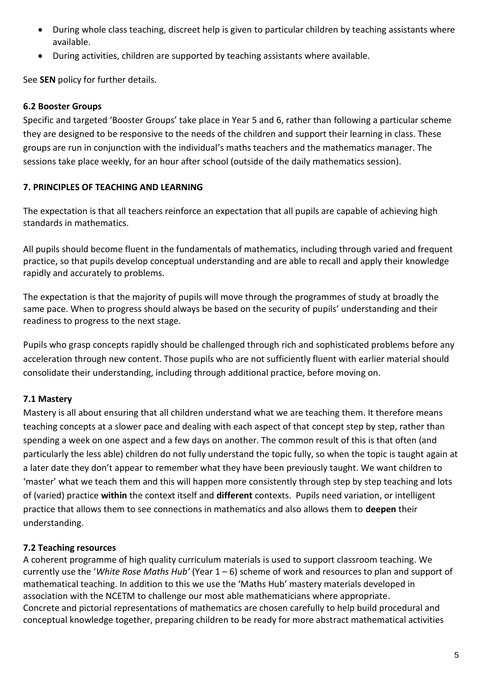- During whole class teaching, discreet help is given to particular children by teaching assistants where available.
- During activities, children are supported by teaching assistants where available.

See **SEN** policy for further details.

#### **6.2 Booster Groups**

Specific and targeted 'Booster Groups' take place in Year 5 and 6, rather than following a particular scheme they are designed to be responsive to the needs of the children and support their learning in class. These groups are run in conjunction with the individual's maths teachers and the mathematics manager. The sessions take place weekly, for an hour after school (outside of the daily mathematics session).

# **7. PRINCIPLES OF TEACHING AND LEARNING**

The expectation is that all teachers reinforce an expectation that all pupils are capable of achieving high standards in mathematics.

All pupils should become fluent in the fundamentals of mathematics, including through varied and frequent practice, so that pupils develop conceptual understanding and are able to recall and apply their knowledge rapidly and accurately to problems.

The expectation is that the majority of pupils will move through the programmes of study at broadly the same pace. When to progress should always be based on the security of pupils' understanding and their readiness to progress to the next stage.

Pupils who grasp concepts rapidly should be challenged through rich and sophisticated problems before any acceleration through new content. Those pupils who are not sufficiently fluent with earlier material should consolidate their understanding, including through additional practice, before moving on.

# **7.1 Mastery**

Mastery is all about ensuring that all children understand what we are teaching them. It therefore means teaching concepts at a slower pace and dealing with each aspect of that concept step by step, rather than spending a week on one aspect and a few days on another. The common result of this is that often (and particularly the less able) children do not fully understand the topic fully, so when the topic is taught again at a later date they don't appear to remember what they have been previously taught. We want children to 'master' what we teach them and this will happen more consistently through step by step teaching and lots of (varied) practice **within** the context itself and **different** contexts. Pupils need variation, or intelligent practice that allows them to see connections in mathematics and also allows them to **deepen** their understanding.

#### **7.2 Teaching resources**

A coherent programme of high quality curriculum materials is used to support classroom teaching. We currently use the '*White Rose Maths Hub'* (Year 1 – 6) scheme of work and resources to plan and support of mathematical teaching. In addition to this we use the 'Maths Hub' mastery materials developed in association with the NCETM to challenge our most able mathematicians where appropriate. Concrete and pictorial representations of mathematics are chosen carefully to help build procedural and conceptual knowledge together, preparing children to be ready for more abstract mathematical activities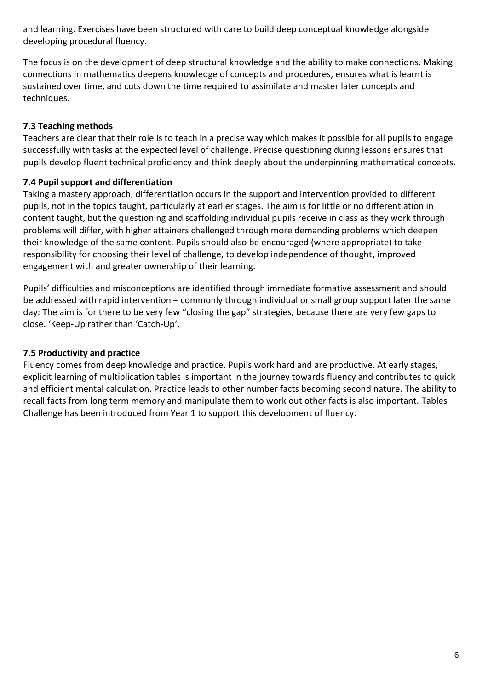and learning. Exercises have been structured with care to build deep conceptual knowledge alongside developing procedural fluency.

The focus is on the development of deep structural knowledge and the ability to make connections. Making connections in mathematics deepens knowledge of concepts and procedures, ensures what is learnt is sustained over time, and cuts down the time required to assimilate and master later concepts and techniques.

# **7.3 Teaching methods**

Teachers are clear that their role is to teach in a precise way which makes it possible for all pupils to engage successfully with tasks at the expected level of challenge. Precise questioning during lessons ensures that pupils develop fluent technical proficiency and think deeply about the underpinning mathematical concepts.

# **7.4 Pupil support and differentiation**

Taking a mastery approach, differentiation occurs in the support and intervention provided to different pupils, not in the topics taught, particularly at earlier stages. The aim is for little or no differentiation in content taught, but the questioning and scaffolding individual pupils receive in class as they work through problems will differ, with higher attainers challenged through more demanding problems which deepen their knowledge of the same content. Pupils should also be encouraged (where appropriate) to take responsibility for choosing their level of challenge, to develop independence of thought, improved engagement with and greater ownership of their learning.

Pupils' difficulties and misconceptions are identified through immediate formative assessment and should be addressed with rapid intervention – commonly through individual or small group support later the same day: The aim is for there to be very few "closing the gap" strategies, because there are very few gaps to close. 'Keep-Up rather than 'Catch-Up'.

# **7.5 Productivity and practice**

Fluency comes from deep knowledge and practice. Pupils work hard and are productive. At early stages, explicit learning of multiplication tables is important in the journey towards fluency and contributes to quick and efficient mental calculation. Practice leads to other number facts becoming second nature. The ability to recall facts from long term memory and manipulate them to work out other facts is also important. Tables Challenge has been introduced from Year 1 to support this development of fluency.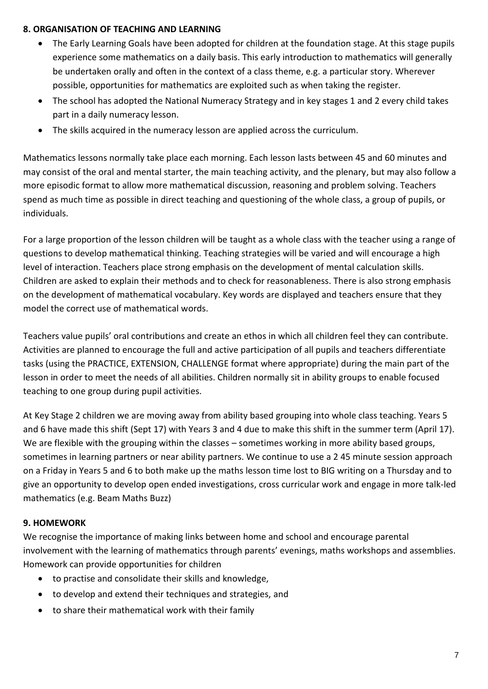#### **8. ORGANISATION OF TEACHING AND LEARNING**

- The Early Learning Goals have been adopted for children at the foundation stage. At this stage pupils experience some mathematics on a daily basis. This early introduction to mathematics will generally be undertaken orally and often in the context of a class theme, e.g. a particular story. Wherever possible, opportunities for mathematics are exploited such as when taking the register.
- The school has adopted the National Numeracy Strategy and in key stages 1 and 2 every child takes part in a daily numeracy lesson.
- The skills acquired in the numeracy lesson are applied across the curriculum.

Mathematics lessons normally take place each morning. Each lesson lasts between 45 and 60 minutes and may consist of the oral and mental starter, the main teaching activity, and the plenary, but may also follow a more episodic format to allow more mathematical discussion, reasoning and problem solving. Teachers spend as much time as possible in direct teaching and questioning of the whole class, a group of pupils, or individuals.

For a large proportion of the lesson children will be taught as a whole class with the teacher using a range of questions to develop mathematical thinking. Teaching strategies will be varied and will encourage a high level of interaction. Teachers place strong emphasis on the development of mental calculation skills. Children are asked to explain their methods and to check for reasonableness. There is also strong emphasis on the development of mathematical vocabulary. Key words are displayed and teachers ensure that they model the correct use of mathematical words.

Teachers value pupils' oral contributions and create an ethos in which all children feel they can contribute. Activities are planned to encourage the full and active participation of all pupils and teachers differentiate tasks (using the PRACTICE, EXTENSION, CHALLENGE format where appropriate) during the main part of the lesson in order to meet the needs of all abilities. Children normally sit in ability groups to enable focused teaching to one group during pupil activities.

At Key Stage 2 children we are moving away from ability based grouping into whole class teaching. Years 5 and 6 have made this shift (Sept 17) with Years 3 and 4 due to make this shift in the summer term (April 17). We are flexible with the grouping within the classes – sometimes working in more ability based groups, sometimes in learning partners or near ability partners. We continue to use a 2 45 minute session approach on a Friday in Years 5 and 6 to both make up the maths lesson time lost to BIG writing on a Thursday and to give an opportunity to develop open ended investigations, cross curricular work and engage in more talk-led mathematics (e.g. Beam Maths Buzz)

# **9. HOMEWORK**

We recognise the importance of making links between home and school and encourage parental involvement with the learning of mathematics through parents' evenings, maths workshops and assemblies. Homework can provide opportunities for children

- to practise and consolidate their skills and knowledge,
- to develop and extend their techniques and strategies, and
- to share their mathematical work with their family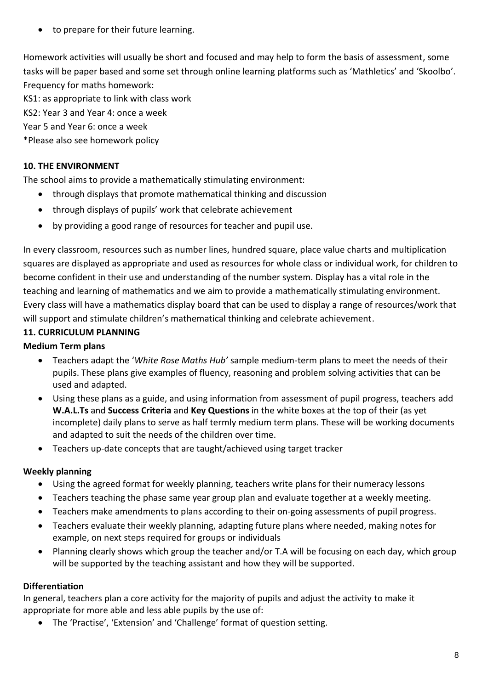• to prepare for their future learning.

Homework activities will usually be short and focused and may help to form the basis of assessment, some tasks will be paper based and some set through online learning platforms such as 'Mathletics' and 'Skoolbo'. Frequency for maths homework:

KS1: as appropriate to link with class work

KS2: Year 3 and Year 4: once a week

Year 5 and Year 6: once a week

\*Please also see homework policy

# **10. THE ENVIRONMENT**

The school aims to provide a mathematically stimulating environment:

- through displays that promote mathematical thinking and discussion
- through displays of pupils' work that celebrate achievement
- by providing a good range of resources for teacher and pupil use.

In every classroom, resources such as number lines, hundred square, place value charts and multiplication squares are displayed as appropriate and used as resources for whole class or individual work, for children to become confident in their use and understanding of the number system. Display has a vital role in the teaching and learning of mathematics and we aim to provide a mathematically stimulating environment. Every class will have a mathematics display board that can be used to display a range of resources/work that will support and stimulate children's mathematical thinking and celebrate achievement.

# **11. CURRICULUM PLANNING**

# **Medium Term plans**

- Teachers adapt the '*White Rose Maths Hub'* sample medium-term plans to meet the needs of their pupils. These plans give examples of fluency, reasoning and problem solving activities that can be used and adapted.
- Using these plans as a guide, and using information from assessment of pupil progress, teachers add **W.A.L.Ts** and **Success Criteria** and **Key Questions** in the white boxes at the top of their (as yet incomplete) daily plans to serve as half termly medium term plans. These will be working documents and adapted to suit the needs of the children over time.
- Teachers up-date concepts that are taught/achieved using target tracker

# **Weekly planning**

- Using the agreed format for weekly planning, teachers write plans for their numeracy lessons
- Teachers teaching the phase same year group plan and evaluate together at a weekly meeting.
- Teachers make amendments to plans according to their on-going assessments of pupil progress.
- Teachers evaluate their weekly planning, adapting future plans where needed, making notes for example, on next steps required for groups or individuals
- Planning clearly shows which group the teacher and/or T.A will be focusing on each day, which group will be supported by the teaching assistant and how they will be supported.

# **Differentiation**

In general, teachers plan a core activity for the majority of pupils and adjust the activity to make it appropriate for more able and less able pupils by the use of:

The 'Practise', 'Extension' and 'Challenge' format of question setting.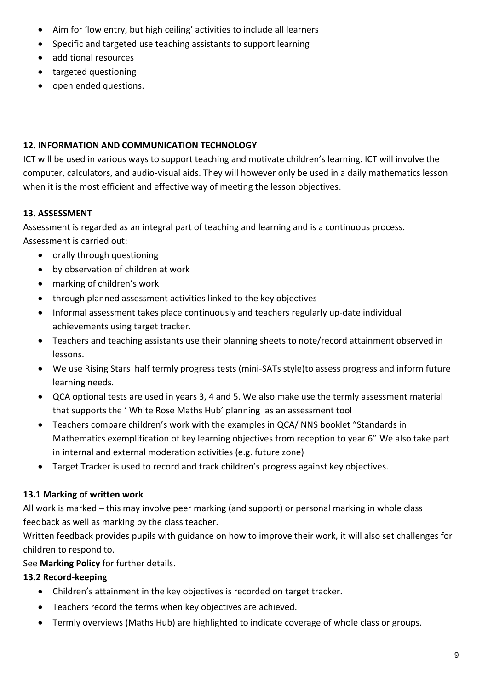- Aim for 'low entry, but high ceiling' activities to include all learners
- Specific and targeted use teaching assistants to support learning
- additional resources
- targeted questioning
- open ended questions.

#### **12. INFORMATION AND COMMUNICATION TECHNOLOGY**

ICT will be used in various ways to support teaching and motivate children's learning. ICT will involve the computer, calculators, and audio-visual aids. They will however only be used in a daily mathematics lesson when it is the most efficient and effective way of meeting the lesson objectives.

# **13. ASSESSMENT**

Assessment is regarded as an integral part of teaching and learning and is a continuous process. Assessment is carried out:

- orally through questioning
- by observation of children at work
- marking of children's work
- through planned assessment activities linked to the key objectives
- Informal assessment takes place continuously and teachers regularly up-date individual achievements using target tracker.
- Teachers and teaching assistants use their planning sheets to note/record attainment observed in lessons.
- We use Rising Stars half termly progress tests (mini-SATs style)to assess progress and inform future learning needs.
- QCA optional tests are used in years 3, 4 and 5. We also make use the termly assessment material that supports the ' White Rose Maths Hub' planning as an assessment tool
- Teachers compare children's work with the examples in QCA/ NNS booklet "Standards in Mathematics exemplification of key learning objectives from reception to year 6" We also take part in internal and external moderation activities (e.g. future zone)
- Target Tracker is used to record and track children's progress against key objectives.

# **13.1 Marking of written work**

All work is marked – this may involve peer marking (and support) or personal marking in whole class feedback as well as marking by the class teacher.

Written feedback provides pupils with guidance on how to improve their work, it will also set challenges for children to respond to.

See **Marking Policy** for further details.

# **13.2 Record-keeping**

- Children's attainment in the key objectives is recorded on target tracker.
- Teachers record the terms when key objectives are achieved.
- Termly overviews (Maths Hub) are highlighted to indicate coverage of whole class or groups.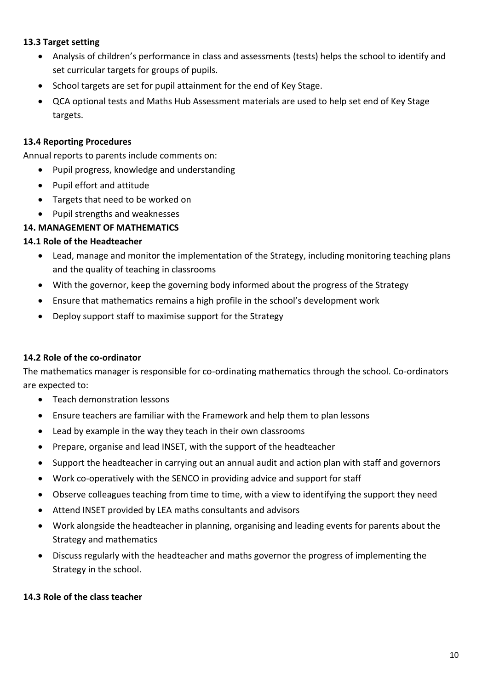#### **13.3 Target setting**

- Analysis of children's performance in class and assessments (tests) helps the school to identify and set curricular targets for groups of pupils.
- School targets are set for pupil attainment for the end of Key Stage.
- QCA optional tests and Maths Hub Assessment materials are used to help set end of Key Stage targets.

#### **13.4 Reporting Procedures**

Annual reports to parents include comments on:

- Pupil progress, knowledge and understanding
- Pupil effort and attitude
- Targets that need to be worked on
- Pupil strengths and weaknesses

#### **14. MANAGEMENT OF MATHEMATICS**

#### **14.1 Role of the Headteacher**

- Lead, manage and monitor the implementation of the Strategy, including monitoring teaching plans and the quality of teaching in classrooms
- With the governor, keep the governing body informed about the progress of the Strategy
- Ensure that mathematics remains a high profile in the school's development work
- Deploy support staff to maximise support for the Strategy

#### **14.2 Role of the co-ordinator**

The mathematics manager is responsible for co-ordinating mathematics through the school. Co-ordinators are expected to:

- Teach demonstration lessons
- Ensure teachers are familiar with the Framework and help them to plan lessons
- Lead by example in the way they teach in their own classrooms
- Prepare, organise and lead INSET, with the support of the headteacher
- Support the headteacher in carrying out an annual audit and action plan with staff and governors
- Work co-operatively with the SENCO in providing advice and support for staff
- Observe colleagues teaching from time to time, with a view to identifying the support they need
- Attend INSET provided by LEA maths consultants and advisors
- Work alongside the headteacher in planning, organising and leading events for parents about the Strategy and mathematics
- Discuss regularly with the headteacher and maths governor the progress of implementing the Strategy in the school.

# **14.3 Role of the class teacher**